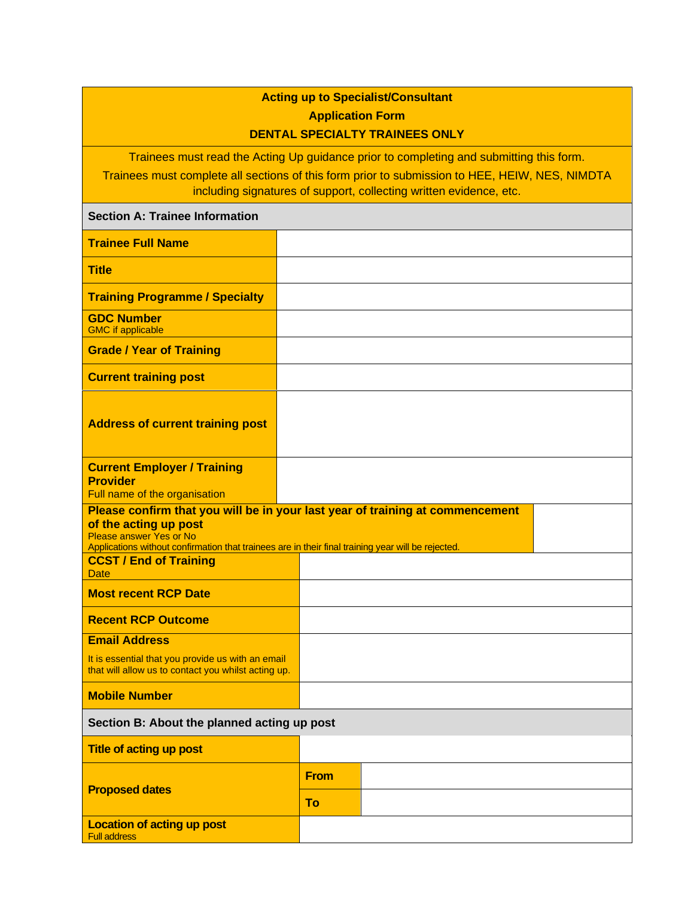## **Acting up to Specialist/Consultant Application Form DENTAL SPECIALTY TRAINEES ONLY**

Trainees must read the Acting Up guidance prior to completing and submitting this form.

Trainees must complete all sections of this form prior to submission to HEE, HEIW, NES, NIMDTA including signatures of support, collecting written evidence, etc.

## **Section A: Trainee Information**

| <b>Trainee Full Name</b>                                                                                                                                                                                                                |             |  |  |  |
|-----------------------------------------------------------------------------------------------------------------------------------------------------------------------------------------------------------------------------------------|-------------|--|--|--|
| <b>Title</b>                                                                                                                                                                                                                            |             |  |  |  |
| <b>Training Programme / Specialty</b>                                                                                                                                                                                                   |             |  |  |  |
| <b>GDC Number</b><br><b>GMC</b> if applicable                                                                                                                                                                                           |             |  |  |  |
| <b>Grade / Year of Training</b>                                                                                                                                                                                                         |             |  |  |  |
| <b>Current training post</b>                                                                                                                                                                                                            |             |  |  |  |
| <b>Address of current training post</b>                                                                                                                                                                                                 |             |  |  |  |
| <b>Current Employer / Training</b><br><b>Provider</b><br>Full name of the organisation                                                                                                                                                  |             |  |  |  |
| Please confirm that you will be in your last year of training at commencement<br>of the acting up post<br>Please answer Yes or No<br>Applications without confirmation that trainees are in their final training year will be rejected. |             |  |  |  |
| <b>CCST / End of Training</b><br>Date                                                                                                                                                                                                   |             |  |  |  |
| <b>Most recent RCP Date</b>                                                                                                                                                                                                             |             |  |  |  |
| <b>Recent RCP Outcome</b>                                                                                                                                                                                                               |             |  |  |  |
| <b>Email Address</b>                                                                                                                                                                                                                    |             |  |  |  |
| It is essential that you provide us with an email<br>that will allow us to contact you whilst acting up.                                                                                                                                |             |  |  |  |
| <b>Mobile Number</b>                                                                                                                                                                                                                    |             |  |  |  |
| Section B: About the planned acting up post                                                                                                                                                                                             |             |  |  |  |
| <b>Title of acting up post</b>                                                                                                                                                                                                          |             |  |  |  |
|                                                                                                                                                                                                                                         | <b>From</b> |  |  |  |
| <b>Proposed dates</b>                                                                                                                                                                                                                   | To          |  |  |  |
| <b>Location of acting up post</b><br><b>Full address</b>                                                                                                                                                                                |             |  |  |  |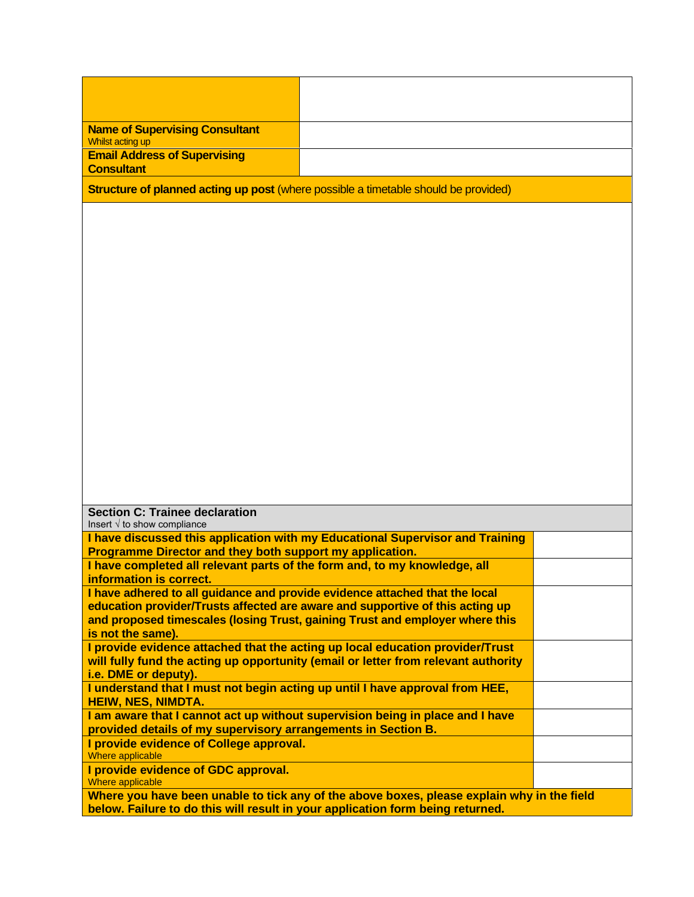| <b>Name of Supervising Consultant</b><br><b>Whilst acting up</b>                                                                                              |  |  |  |  |
|---------------------------------------------------------------------------------------------------------------------------------------------------------------|--|--|--|--|
| <b>Email Address of Supervising</b>                                                                                                                           |  |  |  |  |
| <b>Consultant</b>                                                                                                                                             |  |  |  |  |
| Structure of planned acting up post (where possible a timetable should be provided)                                                                           |  |  |  |  |
|                                                                                                                                                               |  |  |  |  |
|                                                                                                                                                               |  |  |  |  |
|                                                                                                                                                               |  |  |  |  |
|                                                                                                                                                               |  |  |  |  |
|                                                                                                                                                               |  |  |  |  |
|                                                                                                                                                               |  |  |  |  |
|                                                                                                                                                               |  |  |  |  |
|                                                                                                                                                               |  |  |  |  |
|                                                                                                                                                               |  |  |  |  |
|                                                                                                                                                               |  |  |  |  |
|                                                                                                                                                               |  |  |  |  |
|                                                                                                                                                               |  |  |  |  |
|                                                                                                                                                               |  |  |  |  |
|                                                                                                                                                               |  |  |  |  |
|                                                                                                                                                               |  |  |  |  |
|                                                                                                                                                               |  |  |  |  |
|                                                                                                                                                               |  |  |  |  |
| <b>Section C: Trainee declaration</b>                                                                                                                         |  |  |  |  |
| Insert $\sqrt{ }$ to show compliance                                                                                                                          |  |  |  |  |
| I have discussed this application with my Educational Supervisor and Training<br>Programme Director and they both support my application.                     |  |  |  |  |
| I have completed all relevant parts of the form and, to my knowledge, all                                                                                     |  |  |  |  |
| information is correct.                                                                                                                                       |  |  |  |  |
| I have adhered to all guidance and provide evidence attached that the local                                                                                   |  |  |  |  |
| education provider/Trusts affected are aware and supportive of this acting up<br>and proposed timescales (losing Trust, gaining Trust and employer where this |  |  |  |  |
| is not the same).                                                                                                                                             |  |  |  |  |
| I provide evidence attached that the acting up local education provider/Trust                                                                                 |  |  |  |  |
| will fully fund the acting up opportunity (email or letter from relevant authority                                                                            |  |  |  |  |
| i.e. DME or deputy).<br>I understand that I must not begin acting up until I have approval from HEE,                                                          |  |  |  |  |
| <b>HEIW, NES, NIMDTA.</b>                                                                                                                                     |  |  |  |  |
| I am aware that I cannot act up without supervision being in place and I have                                                                                 |  |  |  |  |
| provided details of my supervisory arrangements in Section B.                                                                                                 |  |  |  |  |
| I provide evidence of College approval.<br><b>Where applicable</b>                                                                                            |  |  |  |  |
| I provide evidence of GDC approval.<br><b>Where applicable</b>                                                                                                |  |  |  |  |
| Where you have been unable to tick any of the above boxes, please explain why in the field                                                                    |  |  |  |  |
| below. Failure to do this will result in your application form being returned.                                                                                |  |  |  |  |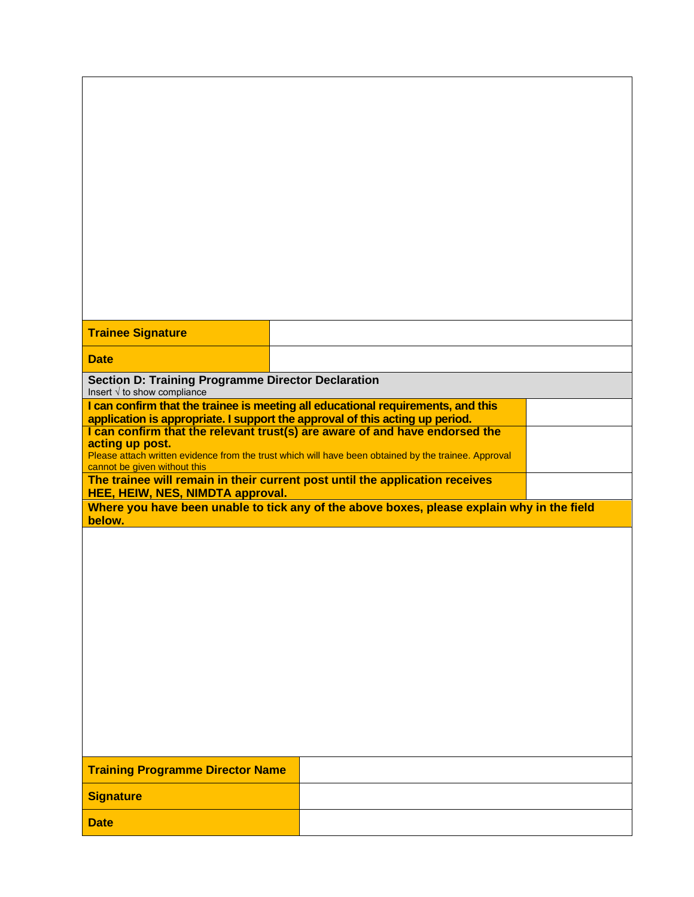| <b>Trainee Signature</b>                                                                          |                                                                                                                                                             |  |
|---------------------------------------------------------------------------------------------------|-------------------------------------------------------------------------------------------------------------------------------------------------------------|--|
|                                                                                                   |                                                                                                                                                             |  |
| <b>Date</b>                                                                                       |                                                                                                                                                             |  |
| <b>Section D: Training Programme Director Declaration</b><br>Insert $\sqrt{ }$ to show compliance |                                                                                                                                                             |  |
|                                                                                                   | I can confirm that the trainee is meeting all educational requirements, and this                                                                            |  |
|                                                                                                   | application is appropriate. I support the approval of this acting up period.<br>I can confirm that the relevant trust(s) are aware of and have endorsed the |  |
| acting up post.                                                                                   | Please attach written evidence from the trust which will have been obtained by the trainee. Approval                                                        |  |
| cannot be given without this                                                                      |                                                                                                                                                             |  |
| HEE, HEIW, NES, NIMDTA approval.                                                                  | The trainee will remain in their current post until the application receives                                                                                |  |
|                                                                                                   | Where you have been unable to tick any of the above boxes, please explain why in the field                                                                  |  |
| below.                                                                                            |                                                                                                                                                             |  |
|                                                                                                   |                                                                                                                                                             |  |
|                                                                                                   |                                                                                                                                                             |  |
|                                                                                                   |                                                                                                                                                             |  |
|                                                                                                   |                                                                                                                                                             |  |
|                                                                                                   |                                                                                                                                                             |  |
|                                                                                                   |                                                                                                                                                             |  |
|                                                                                                   |                                                                                                                                                             |  |
|                                                                                                   |                                                                                                                                                             |  |
|                                                                                                   |                                                                                                                                                             |  |
|                                                                                                   |                                                                                                                                                             |  |
|                                                                                                   |                                                                                                                                                             |  |
| <b>Training Programme Director Name</b>                                                           |                                                                                                                                                             |  |
| <b>Signature</b>                                                                                  |                                                                                                                                                             |  |
| <b>Date</b>                                                                                       |                                                                                                                                                             |  |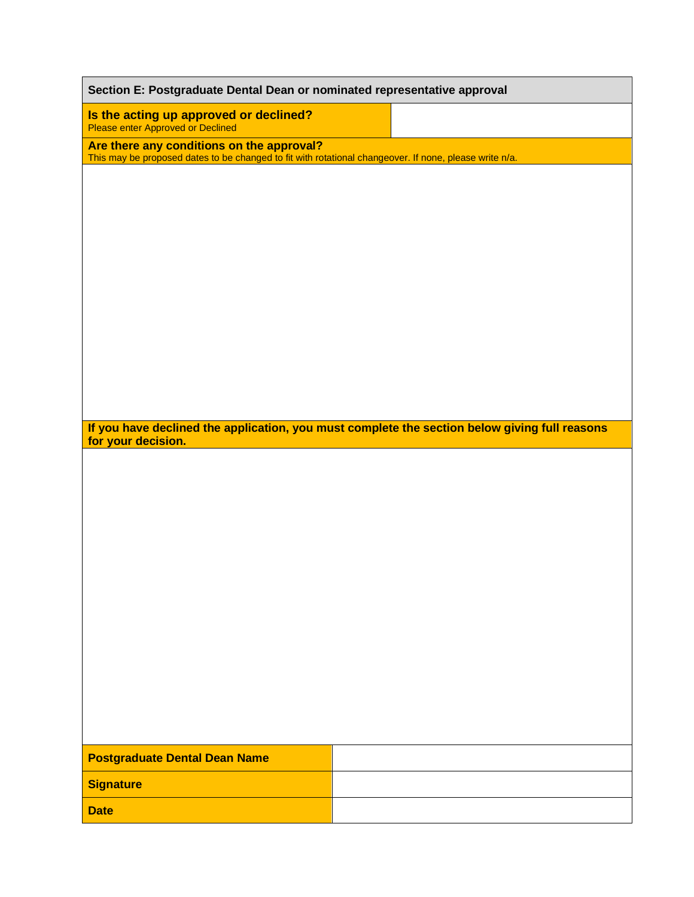| Section E: Postgraduate Dental Dean or nominated representative approval                                                                            |                                                                                               |  |  |  |
|-----------------------------------------------------------------------------------------------------------------------------------------------------|-----------------------------------------------------------------------------------------------|--|--|--|
| Is the acting up approved or declined?<br>Please enter Approved or Declined                                                                         |                                                                                               |  |  |  |
| Are there any conditions on the approval?<br>This may be proposed dates to be changed to fit with rotational changeover. If none, please write n/a. |                                                                                               |  |  |  |
|                                                                                                                                                     |                                                                                               |  |  |  |
|                                                                                                                                                     |                                                                                               |  |  |  |
|                                                                                                                                                     |                                                                                               |  |  |  |
|                                                                                                                                                     |                                                                                               |  |  |  |
|                                                                                                                                                     |                                                                                               |  |  |  |
|                                                                                                                                                     |                                                                                               |  |  |  |
|                                                                                                                                                     |                                                                                               |  |  |  |
|                                                                                                                                                     |                                                                                               |  |  |  |
|                                                                                                                                                     |                                                                                               |  |  |  |
|                                                                                                                                                     | If you have declined the application, you must complete the section below giving full reasons |  |  |  |
| for your decision.                                                                                                                                  |                                                                                               |  |  |  |
|                                                                                                                                                     |                                                                                               |  |  |  |
|                                                                                                                                                     |                                                                                               |  |  |  |
|                                                                                                                                                     |                                                                                               |  |  |  |
|                                                                                                                                                     |                                                                                               |  |  |  |
|                                                                                                                                                     |                                                                                               |  |  |  |
|                                                                                                                                                     |                                                                                               |  |  |  |
|                                                                                                                                                     |                                                                                               |  |  |  |
|                                                                                                                                                     |                                                                                               |  |  |  |
|                                                                                                                                                     |                                                                                               |  |  |  |
|                                                                                                                                                     |                                                                                               |  |  |  |
|                                                                                                                                                     |                                                                                               |  |  |  |
| <b>Postgraduate Dental Dean Name</b>                                                                                                                |                                                                                               |  |  |  |
| <b>Signature</b>                                                                                                                                    |                                                                                               |  |  |  |